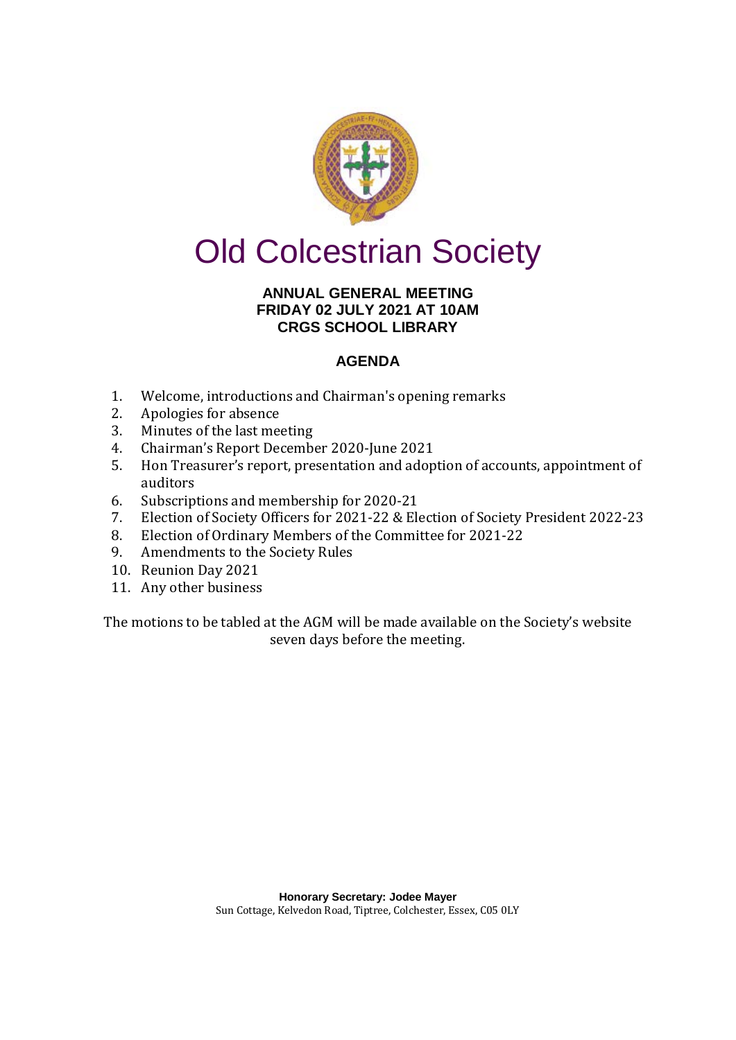

# Old Colcestrian Society

### **ANNUAL GENERAL MEETING FRIDAY 02 JULY 2021 AT 10AM CRGS SCHOOL LIBRARY**

## **AGENDA**

- 1. Welcome, introductions and Chairman's opening remarks<br>2. Apologies for absence
- 2. Apologies for absence<br>3. Minutes of the last mee
- 3. Minutes of the last meeting<br>4. Chairman's Report Decembe
- 4. Chairman's Report December 2020-June 2021<br>5. Hon Treasurer's report, presentation and adop
- 5. Hon Treasurer's report, presentation and adoption of accounts, appointment of auditors
- 6. Subscriptions and membership for 2020-21<br>7. Election of Society Officers for 2021-22 & Election
- 7. Election of Society Officers for 2021-22 & Election of Society President 2022-23
- 8. Election of Ordinary Members of the Committee for 2021-22<br>9. Amendments to the Society Rules
- 9. Amendments to the Society Rules
- 10. Reunion Day 2021
- 11. Any other business

The motions to be tabled at the AGM will be made available on the Society's website seven days before the meeting.